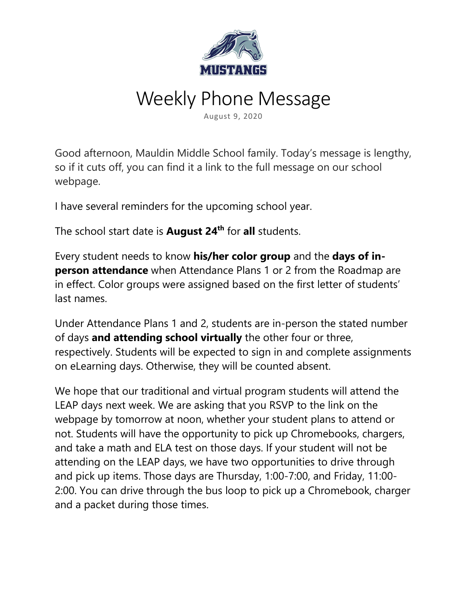

## Weekly Phone Message

August 9, 2020

Good afternoon, Mauldin Middle School family. Today's message is lengthy, so if it cuts off, you can find it a link to the full message on our school webpage.

I have several reminders for the upcoming school year.

The school start date is **August 24th** for **all** students.

Every student needs to know **his/her color group** and the **days of inperson attendance** when Attendance Plans 1 or 2 from the Roadmap are in effect. Color groups were assigned based on the first letter of students' last names.

Under Attendance Plans 1 and 2, students are in-person the stated number of days **and attending school virtually** the other four or three, respectively. Students will be expected to sign in and complete assignments on eLearning days. Otherwise, they will be counted absent.

We hope that our traditional and virtual program students will attend the LEAP days next week. We are asking that you RSVP to the link on the webpage by tomorrow at noon, whether your student plans to attend or not. Students will have the opportunity to pick up Chromebooks, chargers, and take a math and ELA test on those days. If your student will not be attending on the LEAP days, we have two opportunities to drive through and pick up items. Those days are Thursday, 1:00-7:00, and Friday, 11:00- 2:00. You can drive through the bus loop to pick up a Chromebook, charger and a packet during those times.